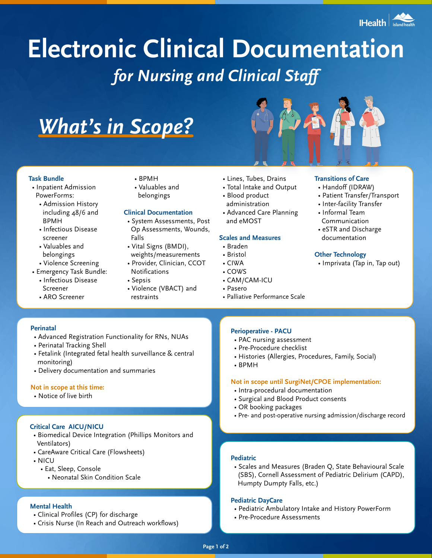

# **Electronic Clinical Documentation** *for Nursing and Clinical Staff*

# *What's in Scope?*

# **Task Bundle**

- Inpatient Admission PowerForms:
	- Admission History including 48/6 and BPMH
	- Infectious Disease screener
	- Valuables and belongings
- Violence Screening • Emergency Task Bundle:
- Infectious Disease
- Screener
- ARO Screener
- BPMH
- Valuables and
- belongings

# **Clinical Documentation**

- System Assessments, Post Op Assessments, Wounds, Falls
- Vital Signs (BMDI), weights/measurements
- Provider, Clinician, CCOT Notifications
- Sepsis
- Violence (VBACT) and restraints
- Lines, Tubes, Drains
- Total Intake and Output
- Blood product administration
- Advanced Care Planning and eMOST

# **Scales and Measures**

## • Braden

- Bristol
- CIWA
- COWS
- CAM/CAM-ICU
- Pasero
- Palliative Performance Scale

# **Transitions of Care**

- Handoff (IDRAW)
- Patient Transfer/Transport
- Inter-facility Transfer
- Informal Team Communication
- eSTR and Discharge documentation

## **Other Technology**

• Imprivata (Tap in, Tap out)

# **Perinatal**

- Advanced Registration Functionality for RNs, NUAs
- Perinatal Tracking Shell
- Fetalink (Integrated fetal health surveillance & central monitoring)
- Delivery documentation and summaries

## **Not in scope at this time:**

• Notice of live birth

# **Critical Care AICU/NICU**

- Biomedical Device Integration (Phillips Monitors and Ventilators)
- CareAware Critical Care (Flowsheets)
- NICU
	- Eat, Sleep, Console
		- Neonatal Skin Condition Scale

# **Mental Health**

- Clinical Profiles (CP) for discharge
- Crisis Nurse (In Reach and Outreach workflows)

# **Perioperative - PACU**

- PAC nursing assessment
- Pre-Procedure checklist
- Histories (Allergies, Procedures, Family, Social)
- BPMH

# **Not in scope until SurgiNet/CPOE implementation:**

- Intra-procedural documentation
- Surgical and Blood Product consents
- OR booking packages
- Pre- and post-operative nursing admission/discharge record

# **Pediatric**

• Scales and Measures (Braden Q, State Behavioural Scale (SBS), Cornell Assessment of Pediatric Delirium (CAPD), Humpty Dumpty Falls, etc.)

## **Pediatric DayCare**

- Pediatric Ambulatory Intake and History PowerForm
- Pre-Procedure Assessments